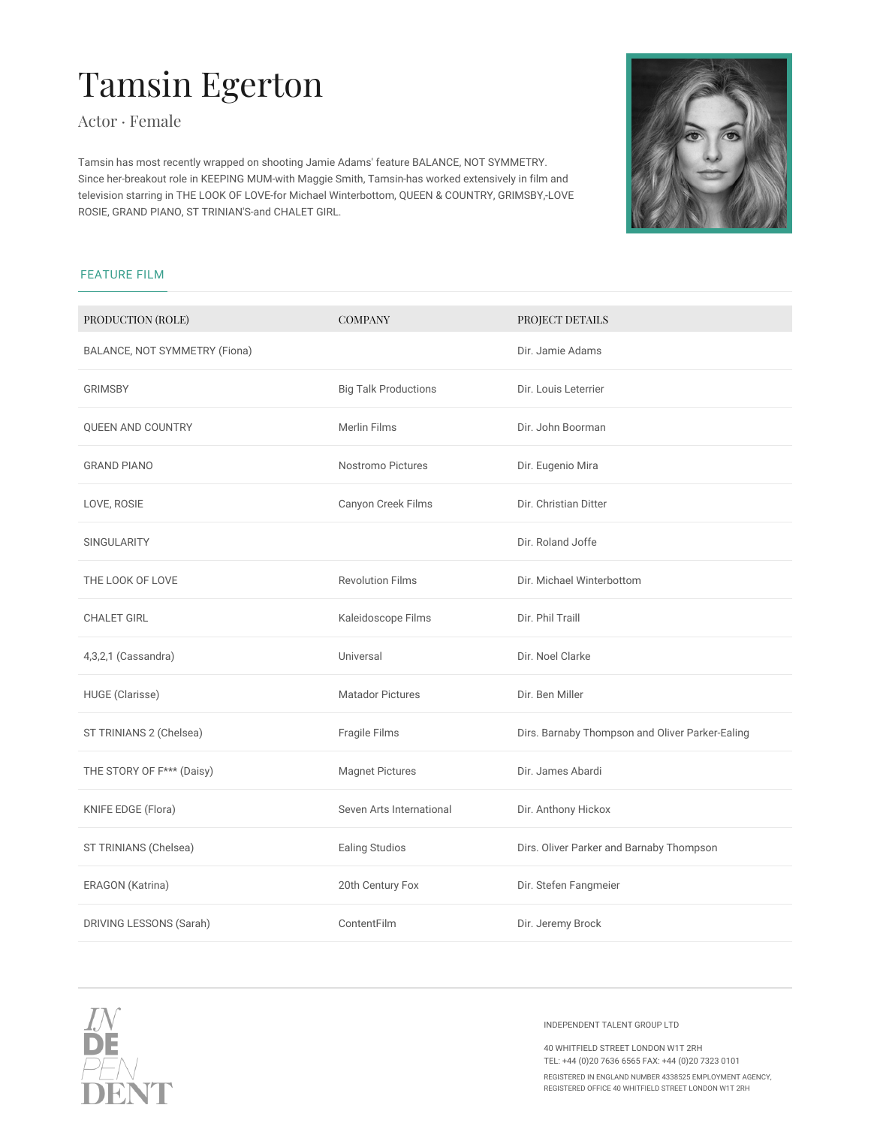## Tamsin Egerton

Actor · Female

Tamsin has most recently wrapped on shooting Jamie Adams' feature BALANCE, NOT SYMMETRY. Since her-breakout role in KEEPING MUM-with Maggie Smith, Tamsin-has worked extensively in film and television starring in THE LOOK OF LOVE-for Michael Winterbottom, QUEEN & COUNTRY, GRIMSBY,-LOVE ROSIE, GRAND PIANO, ST TRINIAN'S-and CHALET GIRL.



## FEATURE FILM

| PRODUCTION (ROLE)             | <b>COMPANY</b>              | PROJECT DETAILS                                 |
|-------------------------------|-----------------------------|-------------------------------------------------|
| BALANCE, NOT SYMMETRY (Fiona) |                             | Dir. Jamie Adams                                |
| <b>GRIMSBY</b>                | <b>Big Talk Productions</b> | Dir. Louis Leterrier                            |
| <b>QUEEN AND COUNTRY</b>      | <b>Merlin Films</b>         | Dir. John Boorman                               |
| <b>GRAND PIANO</b>            | <b>Nostromo Pictures</b>    | Dir. Eugenio Mira                               |
| LOVE, ROSIE                   | Canyon Creek Films          | Dir. Christian Ditter                           |
| <b>SINGULARITY</b>            |                             | Dir. Roland Joffe                               |
| THE LOOK OF LOVE              | <b>Revolution Films</b>     | Dir. Michael Winterbottom                       |
| <b>CHALET GIRL</b>            | Kaleidoscope Films          | Dir. Phil Traill                                |
| 4,3,2,1 (Cassandra)           | Universal                   | Dir. Noel Clarke                                |
| HUGE (Clarisse)               | <b>Matador Pictures</b>     | Dir. Ben Miller                                 |
| ST TRINIANS 2 (Chelsea)       | Fragile Films               | Dirs. Barnaby Thompson and Oliver Parker-Ealing |
| THE STORY OF F*** (Daisy)     | <b>Magnet Pictures</b>      | Dir. James Abardi                               |
| KNIFE EDGE (Flora)            | Seven Arts International    | Dir. Anthony Hickox                             |
| ST TRINIANS (Chelsea)         | Ealing Studios              | Dirs. Oliver Parker and Barnaby Thompson        |
| ERAGON (Katrina)              | 20th Century Fox            | Dir. Stefen Fangmeier                           |
| DRIVING LESSONS (Sarah)       | ContentFilm                 | Dir. Jeremy Brock                               |
|                               |                             |                                                 |



INDEPENDENT TALENT GROUP LTD

40 WHITFIELD STREET LONDON W1T 2RH TEL: +44 (0)20 7636 6565 FAX: +44 (0)20 7323 0101

REGISTERED IN ENGLAND NUMBER 4338525 EMPLOYMENT AGENCY, REGISTERED OFFICE 40 WHITFIELD STREET LONDON W1T 2RH